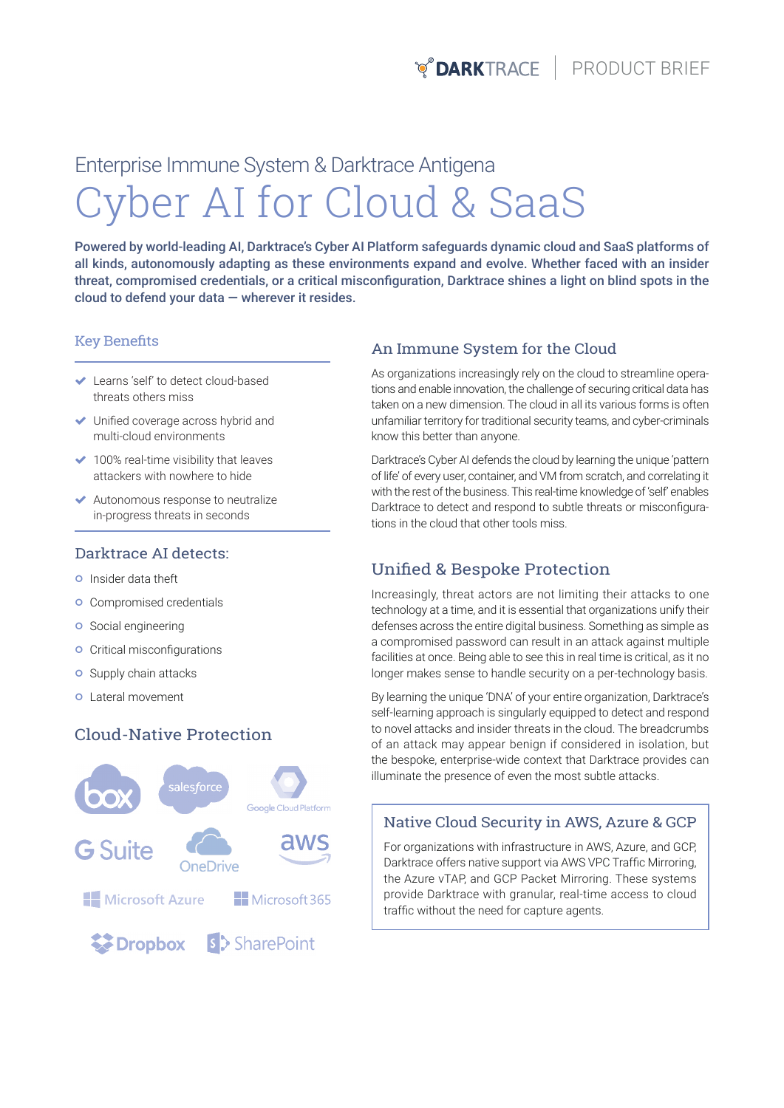# Cyber AI for Cloud & SaaS Enterprise Immune System & Darktrace Antigena

Powered by world-leading AI, Darktrace's Cyber AI Platform safeguards dynamic cloud and SaaS platforms of all kinds, autonomously adapting as these environments expand and evolve. Whether faced with an insider threat, compromised credentials, or a critical misconfiguration, Darktrace shines a light on blind spots in the cloud to defend your data — wherever it resides.

#### Key Benefits

- Learns 'self' to detect cloud-based threats others miss
- Unified coverage across hybrid and multi-cloud environments
- $\blacktriangleright$  100% real-time visibility that leaves attackers with nowhere to hide
- Autonomous response to neutralize in-progress threats in seconds

#### Darktrace AI detects:

- **o** Insider data theft
- **o** Compromised credentials
- **o** Social engineering
- **o** Critical misconfigurations
- **o** Supply chain attacks
- Lateral movement

## Cloud-Native Protection



#### An Immune System for the Cloud

As organizations increasingly rely on the cloud to streamline operations and enable innovation, the challenge of securing critical data has taken on a new dimension. The cloud in all its various forms is often unfamiliar territory for traditional security teams, and cyber-criminals know this better than anyone.

Darktrace's Cyber AI defends the cloud by learning the unique 'pattern of life' of every user, container, and VM from scratch, and correlating it with the rest of the business. This real-time knowledge of 'self' enables Darktrace to detect and respond to subtle threats or misconfigurations in the cloud that other tools miss.

# Unified & Bespoke Protection

Increasingly, threat actors are not limiting their attacks to one technology at a time, and it is essential that organizations unify their defenses across the entire digital business. Something as simple as a compromised password can result in an attack against multiple facilities at once. Being able to see this in real time is critical, as it no longer makes sense to handle security on a per-technology basis.

By learning the unique 'DNA' of your entire organization, Darktrace's self-learning approach is singularly equipped to detect and respond to novel attacks and insider threats in the cloud. The breadcrumbs of an attack may appear benign if considered in isolation, but the bespoke, enterprise-wide context that Darktrace provides can illuminate the presence of even the most subtle attacks.

## Native Cloud Security in AWS, Azure & GCP

For organizations with infrastructure in AWS, Azure, and GCP, Darktrace offers native support via AWS VPC Traffic Mirroring, the Azure vTAP, and GCP Packet Mirroring. These systems provide Darktrace with granular, real-time access to cloud traffic without the need for capture agents.